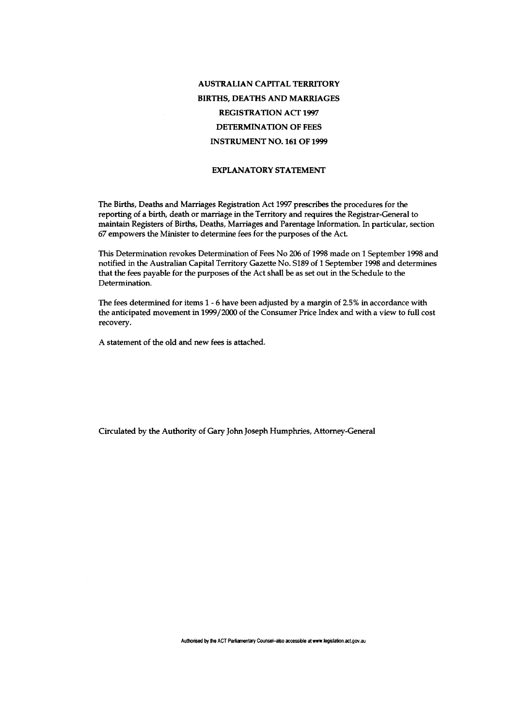## **AUSTRALIAN CAPITAL TERRITORY BIRTHS, DEATHS AND MARRIAGES REGISTRATION ACT 1997 DETERMINATION OF FEES INSTRUMENT NO. 161 OF 1999**

## **EXPLANATORY STATEMENT**

The Births, Deaths and Marriages Registration Act 1997 prescribes the procedures for the reporting of a birth, death or marriage in the Territory and requires the Registrar-General to maintain Registers of Births, Deaths, Marriages and Parentage Information. In particular, section 67 empowers the Minister to determine fees for the purposes of the Act.

This Determination revokes Determination of Fees No 206 of 1998 made on 1 September 1998 and notified in the Australian Capital Territory Gazette No. SI89 of 1 September 1998 and determines that the fees payable for the purposes of the Act shall be as set out in the Schedule to the Determination.

The fees determined for items 1-6 have been adjusted by a margin of 2.5% in accordance with the anticipated movement in 1999/2000 of the Consumer Price Index and with a view to full cost recovery.

A statement of the old and new fees is attached.

Circulated by the Authority of Gary John Joseph Humphries, Attorney-General